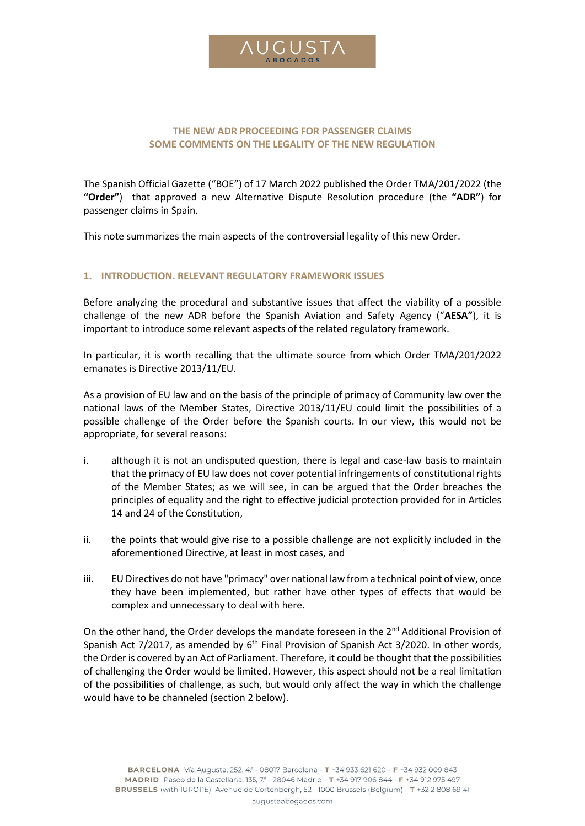

# **THE NEW ADR PROCEEDING FOR PASSENGER CLAIMS SOME COMMENTS ON THE LEGALITY OF THE NEW REGULATION**

The Spanish Official Gazette ("BOE") of 17 March 2022 published the Order TMA/201/2022 (the **"Order"**) that approved a new Alternative Dispute Resolution procedure (the **"ADR"**) for passenger claims in Spain.

This note summarizes the main aspects of the controversial legality of this new Order.

# **1. INTRODUCTION. RELEVANT REGULATORY FRAMEWORK ISSUES**

Before analyzing the procedural and substantive issues that affect the viability of a possible challenge of the new ADR before the Spanish Aviation and Safety Agency ("**AESA"**), it is important to introduce some relevant aspects of the related regulatory framework.

In particular, it is worth recalling that the ultimate source from which Order TMA/201/2022 emanates is Directive 2013/11/EU.

As a provision of EU law and on the basis of the principle of primacy of Community law over the national laws of the Member States, Directive 2013/11/EU could limit the possibilities of a possible challenge of the Order before the Spanish courts. In our view, this would not be appropriate, for several reasons:

- i. although it is not an undisputed question, there is legal and case-law basis to maintain that the primacy of EU law does not cover potential infringements of constitutional rights of the Member States; as we will see, in can be argued that the Order breaches the principles of equality and the right to effective judicial protection provided for in Articles 14 and 24 of the Constitution,
- ii. the points that would give rise to a possible challenge are not explicitly included in the aforementioned Directive, at least in most cases, and
- iii. EU Directives do not have "primacy" over national law from a technical point of view, once they have been implemented, but rather have other types of effects that would be complex and unnecessary to deal with here.

On the other hand, the Order develops the mandate foreseen in the 2<sup>nd</sup> Additional Provision of Spanish Act  $7/2017$ , as amended by  $6<sup>th</sup>$  Final Provision of Spanish Act 3/2020. In other words, the Order is covered by an Act of Parliament. Therefore, it could be thought that the possibilities of challenging the Order would be limited. However, this aspect should not be a real limitation of the possibilities of challenge, as such, but would only affect the way in which the challenge would have to be channeled (section 2 below).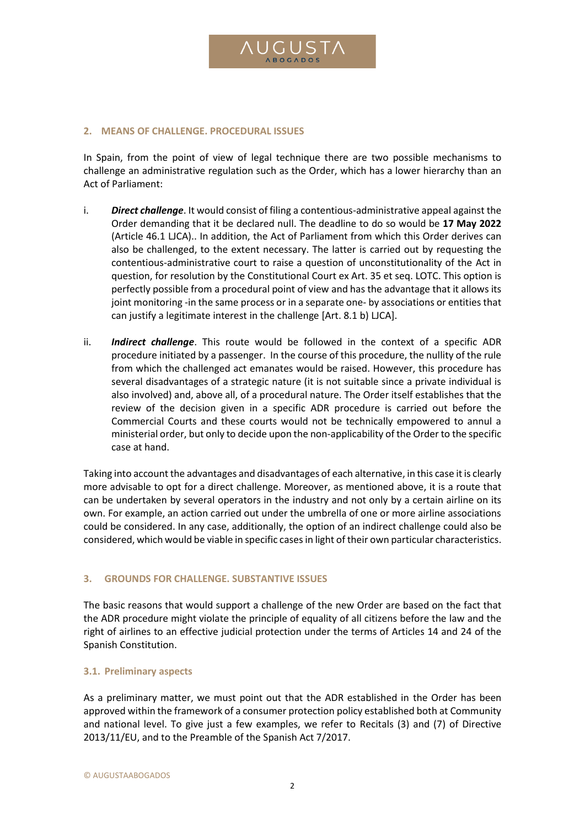

#### **2. MEANS OF CHALLENGE. PROCEDURAL ISSUES**

In Spain, from the point of view of legal technique there are two possible mechanisms to challenge an administrative regulation such as the Order, which has a lower hierarchy than an Act of Parliament:

- i. *Direct challenge*. It would consist of filing a contentious-administrative appeal against the Order demanding that it be declared null. The deadline to do so would be **17 May 2022**  (Article 46.1 LJCA).. In addition, the Act of Parliament from which this Order derives can also be challenged, to the extent necessary. The latter is carried out by requesting the contentious-administrative court to raise a question of unconstitutionality of the Act in question, for resolution by the Constitutional Court ex Art. 35 et seq. LOTC. This option is perfectly possible from a procedural point of view and has the advantage that it allows its joint monitoring -in the same process or in a separate one- by associations or entities that can justify a legitimate interest in the challenge [Art. 8.1 b) LJCA].
- ii. *Indirect challenge*. This route would be followed in the context of a specific ADR procedure initiated by a passenger. In the course of this procedure, the nullity of the rule from which the challenged act emanates would be raised. However, this procedure has several disadvantages of a strategic nature (it is not suitable since a private individual is also involved) and, above all, of a procedural nature. The Order itself establishes that the review of the decision given in a specific ADR procedure is carried out before the Commercial Courts and these courts would not be technically empowered to annul a ministerial order, but only to decide upon the non-applicability of the Order to the specific case at hand.

Taking into account the advantages and disadvantages of each alternative, in this case it is clearly more advisable to opt for a direct challenge. Moreover, as mentioned above, it is a route that can be undertaken by several operators in the industry and not only by a certain airline on its own. For example, an action carried out under the umbrella of one or more airline associations could be considered. In any case, additionally, the option of an indirect challenge could also be considered, which would be viable in specific casesin light of their own particular characteristics.

#### **3. GROUNDS FOR CHALLENGE. SUBSTANTIVE ISSUES**

The basic reasons that would support a challenge of the new Order are based on the fact that the ADR procedure might violate the principle of equality of all citizens before the law and the right of airlines to an effective judicial protection under the terms of Articles 14 and 24 of the Spanish Constitution.

### **3.1. Preliminary aspects**

As a preliminary matter, we must point out that the ADR established in the Order has been approved within the framework of a consumer protection policy established both at Community and national level. To give just a few examples, we refer to Recitals (3) and (7) of Directive 2013/11/EU, and to the Preamble of the Spanish Act 7/2017.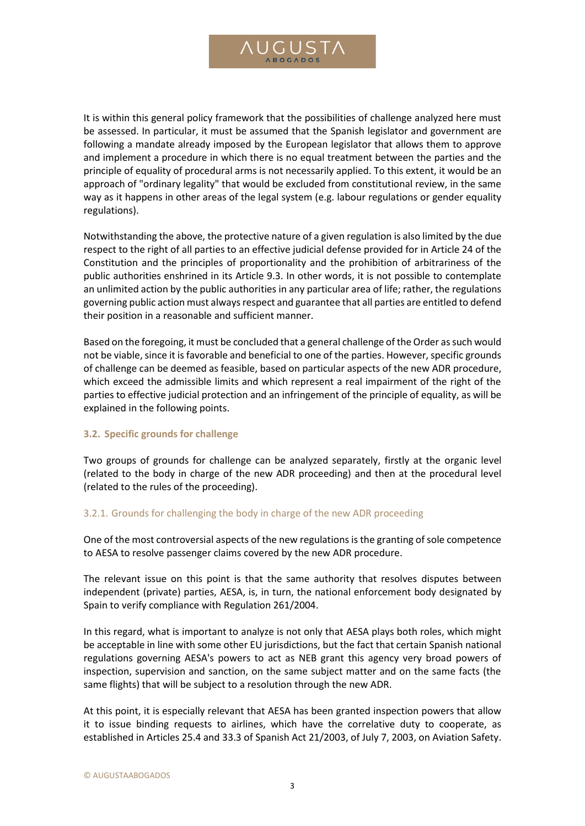

It is within this general policy framework that the possibilities of challenge analyzed here must be assessed. In particular, it must be assumed that the Spanish legislator and government are following a mandate already imposed by the European legislator that allows them to approve and implement a procedure in which there is no equal treatment between the parties and the principle of equality of procedural arms is not necessarily applied. To this extent, it would be an approach of "ordinary legality" that would be excluded from constitutional review, in the same way as it happens in other areas of the legal system (e.g. labour regulations or gender equality regulations).

Notwithstanding the above, the protective nature of a given regulation is also limited by the due respect to the right of all parties to an effective judicial defense provided for in Article 24 of the Constitution and the principles of proportionality and the prohibition of arbitrariness of the public authorities enshrined in its Article 9.3. In other words, it is not possible to contemplate an unlimited action by the public authorities in any particular area of life; rather, the regulations governing public action must always respect and guarantee that all parties are entitled to defend their position in a reasonable and sufficient manner.

Based on the foregoing, it must be concluded that a general challenge of the Order as such would not be viable, since it is favorable and beneficial to one of the parties. However, specific grounds of challenge can be deemed as feasible, based on particular aspects of the new ADR procedure, which exceed the admissible limits and which represent a real impairment of the right of the parties to effective judicial protection and an infringement of the principle of equality, as will be explained in the following points.

# **3.2. Specific grounds for challenge**

Two groups of grounds for challenge can be analyzed separately, firstly at the organic level (related to the body in charge of the new ADR proceeding) and then at the procedural level (related to the rules of the proceeding).

# 3.2.1. Grounds for challenging the body in charge of the new ADR proceeding

One of the most controversial aspects of the new regulations is the granting of sole competence to AESA to resolve passenger claims covered by the new ADR procedure.

The relevant issue on this point is that the same authority that resolves disputes between independent (private) parties, AESA, is, in turn, the national enforcement body designated by Spain to verify compliance with Regulation 261/2004.

In this regard, what is important to analyze is not only that AESA plays both roles, which might be acceptable in line with some other EU jurisdictions, but the fact that certain Spanish national regulations governing AESA's powers to act as NEB grant this agency very broad powers of inspection, supervision and sanction, on the same subject matter and on the same facts (the same flights) that will be subject to a resolution through the new ADR.

At this point, it is especially relevant that AESA has been granted inspection powers that allow it to issue binding requests to airlines, which have the correlative duty to cooperate, as established in Articles 25.4 and 33.3 of Spanish Act 21/2003, of July 7, 2003, on Aviation Safety.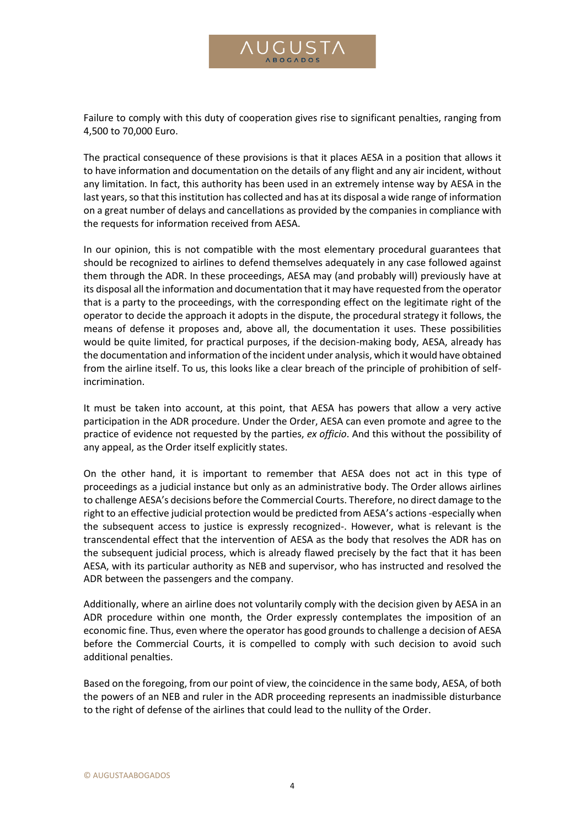

Failure to comply with this duty of cooperation gives rise to significant penalties, ranging from 4,500 to 70,000 Euro.

The practical consequence of these provisions is that it places AESA in a position that allows it to have information and documentation on the details of any flight and any air incident, without any limitation. In fact, this authority has been used in an extremely intense way by AESA in the last years, so that this institution has collected and has at its disposal a wide range of information on a great number of delays and cancellations as provided by the companies in compliance with the requests for information received from AESA.

In our opinion, this is not compatible with the most elementary procedural guarantees that should be recognized to airlines to defend themselves adequately in any case followed against them through the ADR. In these proceedings, AESA may (and probably will) previously have at its disposal all the information and documentation that it may have requested from the operator that is a party to the proceedings, with the corresponding effect on the legitimate right of the operator to decide the approach it adopts in the dispute, the procedural strategy it follows, the means of defense it proposes and, above all, the documentation it uses. These possibilities would be quite limited, for practical purposes, if the decision-making body, AESA, already has the documentation and information of the incident under analysis, which it would have obtained from the airline itself. To us, this looks like a clear breach of the principle of prohibition of selfincrimination.

It must be taken into account, at this point, that AESA has powers that allow a very active participation in the ADR procedure. Under the Order, AESA can even promote and agree to the practice of evidence not requested by the parties, *ex officio*. And this without the possibility of any appeal, as the Order itself explicitly states.

On the other hand, it is important to remember that AESA does not act in this type of proceedings as a judicial instance but only as an administrative body. The Order allows airlines to challenge AESA's decisions before the Commercial Courts. Therefore, no direct damage to the right to an effective judicial protection would be predicted from AESA's actions -especially when the subsequent access to justice is expressly recognized-. However, what is relevant is the transcendental effect that the intervention of AESA as the body that resolves the ADR has on the subsequent judicial process, which is already flawed precisely by the fact that it has been AESA, with its particular authority as NEB and supervisor, who has instructed and resolved the ADR between the passengers and the company.

Additionally, where an airline does not voluntarily comply with the decision given by AESA in an ADR procedure within one month, the Order expressly contemplates the imposition of an economic fine. Thus, even where the operator has good grounds to challenge a decision of AESA before the Commercial Courts, it is compelled to comply with such decision to avoid such additional penalties.

Based on the foregoing, from our point of view, the coincidence in the same body, AESA, of both the powers of an NEB and ruler in the ADR proceeding represents an inadmissible disturbance to the right of defense of the airlines that could lead to the nullity of the Order.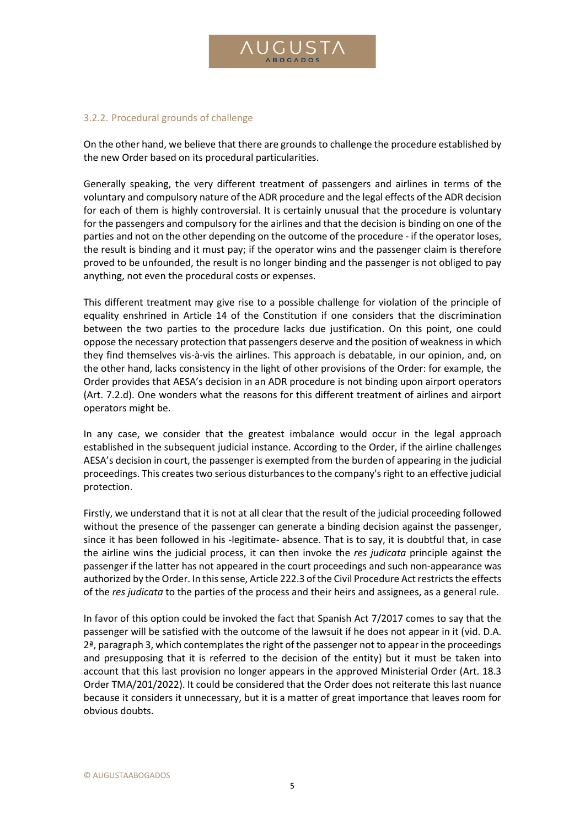# 3.2.2. Procedural grounds of challenge

On the other hand, we believe that there are grounds to challenge the procedure established by the new Order based on its procedural particularities.

Generally speaking, the very different treatment of passengers and airlines in terms of the voluntary and compulsory nature of the ADR procedure and the legal effects of the ADR decision for each of them is highly controversial. It is certainly unusual that the procedure is voluntary for the passengers and compulsory for the airlines and that the decision is binding on one of the parties and not on the other depending on the outcome of the procedure - if the operator loses, the result is binding and it must pay; if the operator wins and the passenger claim is therefore proved to be unfounded, the result is no longer binding and the passenger is not obliged to pay anything, not even the procedural costs or expenses.

This different treatment may give rise to a possible challenge for violation of the principle of equality enshrined in Article 14 of the Constitution if one considers that the discrimination between the two parties to the procedure lacks due justification. On this point, one could oppose the necessary protection that passengers deserve and the position of weakness in which they find themselves vis-à-vis the airlines. This approach is debatable, in our opinion, and, on the other hand, lacks consistency in the light of other provisions of the Order: for example, the Order provides that AESA's decision in an ADR procedure is not binding upon airport operators (Art. 7.2.d). One wonders what the reasons for this different treatment of airlines and airport operators might be.

In any case, we consider that the greatest imbalance would occur in the legal approach established in the subsequent judicial instance. According to the Order, if the airline challenges AESA's decision in court, the passenger is exempted from the burden of appearing in the judicial proceedings. This creates two serious disturbances to the company's right to an effective judicial protection.

Firstly, we understand that it is not at all clear that the result of the judicial proceeding followed without the presence of the passenger can generate a binding decision against the passenger, since it has been followed in his -legitimate- absence. That is to say, it is doubtful that, in case the airline wins the judicial process, it can then invoke the *res judicata* principle against the passenger if the latter has not appeared in the court proceedings and such non-appearance was authorized by the Order. In this sense, Article 222.3 of the Civil Procedure Act restricts the effects of the *res judicata* to the parties of the process and their heirs and assignees, as a general rule.

In favor of this option could be invoked the fact that Spanish Act 7/2017 comes to say that the passenger will be satisfied with the outcome of the lawsuit if he does not appear in it (vid. D.A.  $2<sup>a</sup>$ , paragraph 3, which contemplates the right of the passenger not to appear in the proceedings and presupposing that it is referred to the decision of the entity) but it must be taken into account that this last provision no longer appears in the approved Ministerial Order (Art. 18.3 Order TMA/201/2022). It could be considered that the Order does not reiterate this last nuance because it considers it unnecessary, but it is a matter of great importance that leaves room for obvious doubts.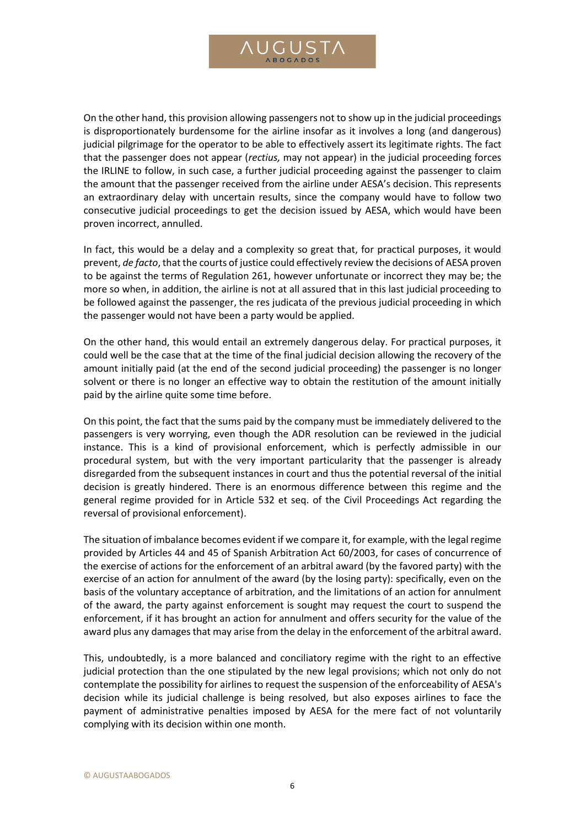

On the other hand, this provision allowing passengers not to show up in the judicial proceedings is disproportionately burdensome for the airline insofar as it involves a long (and dangerous) judicial pilgrimage for the operator to be able to effectively assert its legitimate rights. The fact that the passenger does not appear (*rectius,* may not appear) in the judicial proceeding forces the IRLINE to follow, in such case, a further judicial proceeding against the passenger to claim the amount that the passenger received from the airline under AESA's decision. This represents an extraordinary delay with uncertain results, since the company would have to follow two consecutive judicial proceedings to get the decision issued by AESA, which would have been proven incorrect, annulled.

In fact, this would be a delay and a complexity so great that, for practical purposes, it would prevent, *de facto*, that the courts of justice could effectively review the decisions of AESA proven to be against the terms of Regulation 261, however unfortunate or incorrect they may be; the more so when, in addition, the airline is not at all assured that in this last judicial proceeding to be followed against the passenger, the res judicata of the previous judicial proceeding in which the passenger would not have been a party would be applied.

On the other hand, this would entail an extremely dangerous delay. For practical purposes, it could well be the case that at the time of the final judicial decision allowing the recovery of the amount initially paid (at the end of the second judicial proceeding) the passenger is no longer solvent or there is no longer an effective way to obtain the restitution of the amount initially paid by the airline quite some time before.

On this point, the fact that the sums paid by the company must be immediately delivered to the passengers is very worrying, even though the ADR resolution can be reviewed in the judicial instance. This is a kind of provisional enforcement, which is perfectly admissible in our procedural system, but with the very important particularity that the passenger is already disregarded from the subsequent instances in court and thus the potential reversal of the initial decision is greatly hindered. There is an enormous difference between this regime and the general regime provided for in Article 532 et seq. of the Civil Proceedings Act regarding the reversal of provisional enforcement).

The situation of imbalance becomes evident if we compare it, for example, with the legal regime provided by Articles 44 and 45 of Spanish Arbitration Act 60/2003, for cases of concurrence of the exercise of actions for the enforcement of an arbitral award (by the favored party) with the exercise of an action for annulment of the award (by the losing party): specifically, even on the basis of the voluntary acceptance of arbitration, and the limitations of an action for annulment of the award, the party against enforcement is sought may request the court to suspend the enforcement, if it has brought an action for annulment and offers security for the value of the award plus any damages that may arise from the delay in the enforcement of the arbitral award.

This, undoubtedly, is a more balanced and conciliatory regime with the right to an effective judicial protection than the one stipulated by the new legal provisions; which not only do not contemplate the possibility for airlines to request the suspension of the enforceability of AESA's decision while its judicial challenge is being resolved, but also exposes airlines to face the payment of administrative penalties imposed by AESA for the mere fact of not voluntarily complying with its decision within one month.